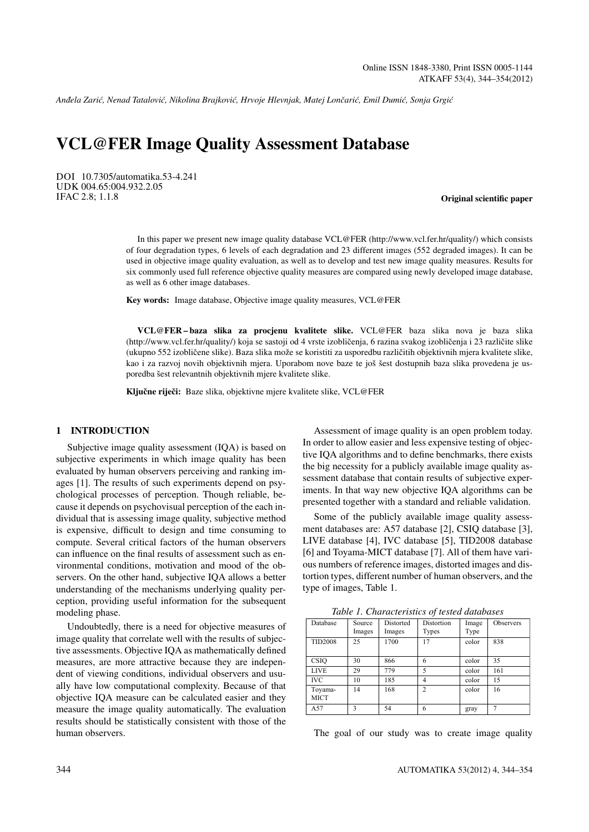*Andela Zari´c, Nenad Tatalovi´c, Nikolina Brajkovi´c, Hrvoje Hlevnjak, Matej Lonˇcari´c, Emil Dumi´c, Sonja Grgi´c ¯*

# VCL@FER Image Quality Assessment Database

DOI 10.7305/automatika.53-4.241 UDK 004.65:004.932.2.05 IFAC 2.8; 1.1.8

#### Original scientific paper

In this paper we present new image quality database VCL@FER (http://www.vcl.fer.hr/quality/) which consists of four degradation types, 6 levels of each degradation and 23 different images (552 degraded images). It can be used in objective image quality evaluation, as well as to develop and test new image quality measures. Results for six commonly used full reference objective quality measures are compared using newly developed image database, as well as 6 other image databases.

Key words: Image database, Objective image quality measures, VCL@FER

VCL@FER – baza slika za procjenu kvalitete slike. VCL@FER baza slika nova je baza slika (http://www.vcl.fer.hr/quality/) koja se sastoji od 4 vrste izobličenja, 6 razina svakog izobličenja i 23 različite slike (ukupno 552 izobličene slike). Baza slika može se koristiti za usporedbu različitih objektivnih mjera kvalitete slike, kao i za razvoj novih objektivnih mjera. Uporabom nove baze te još šest dostupnih baza slika provedena je usporedba šest relevantnih objektivnih mjere kvalitete slike.

Ključne riječi: Baze slika, objektivne mjere kvalitete slike, VCL@FER

# 1 INTRODUCTION

Subjective image quality assessment (IQA) is based on subjective experiments in which image quality has been evaluated by human observers perceiving and ranking images [1]. The results of such experiments depend on psychological processes of perception. Though reliable, because it depends on psychovisual perception of the each individual that is assessing image quality, subjective method is expensive, difficult to design and time consuming to compute. Several critical factors of the human observers can influence on the final results of assessment such as environmental conditions, motivation and mood of the observers. On the other hand, subjective IQA allows a better understanding of the mechanisms underlying quality perception, providing useful information for the subsequent modeling phase.

Undoubtedly, there is a need for objective measures of image quality that correlate well with the results of subjective assessments. Objective IQA as mathematically defined measures, are more attractive because they are independent of viewing conditions, individual observers and usually have low computational complexity. Because of that objective IQA measure can be calculated easier and they measure the image quality automatically. The evaluation results should be statistically consistent with those of the human observers.

Assessment of image quality is an open problem today. In order to allow easier and less expensive testing of objective IQA algorithms and to define benchmarks, there exists the big necessity for a publicly available image quality assessment database that contain results of subjective experiments. In that way new objective IQA algorithms can be presented together with a standard and reliable validation.

Some of the publicly available image quality assessment databases are: A57 database [2], CSIQ database [3], LIVE database [4], IVC database [5], TID2008 database [6] and Toyama-MICT database [7]. All of them have various numbers of reference images, distorted images and distortion types, different number of human observers, and the type of images, Table 1.

*Table 1. Characteristics of tested databases*

| Database        | Source<br>Images | Distorted<br>Images | Distortion<br>Types | Image<br>Type | <b>Observers</b> |
|-----------------|------------------|---------------------|---------------------|---------------|------------------|
| <b>TID2008</b>  | 25               | 1700                | 17                  | color         | 838              |
| <b>CSIO</b>     | 30               | 866                 | 6                   | color         | 35               |
| <b>LIVE</b>     | 29               | 779                 | 5                   | color         | 161              |
| <b>IVC</b>      | 10               | 185                 | $\overline{4}$      | color         | 15               |
| Toyama-<br>MICT | 14               | 168                 | $\mathfrak{D}$      | color         | 16               |
| A57             | 3                | 54                  | 6                   | gray          |                  |

The goal of our study was to create image quality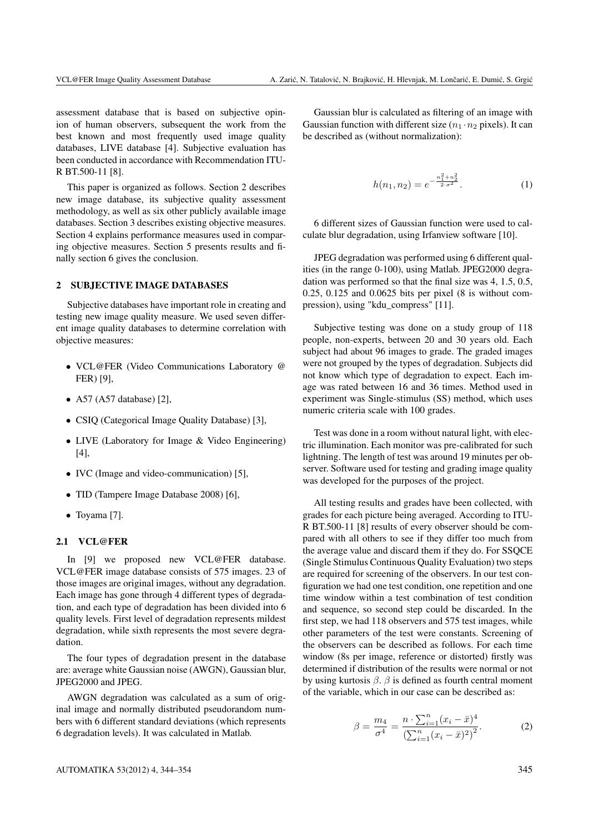assessment database that is based on subjective opinion of human observers, subsequent the work from the best known and most frequently used image quality databases, LIVE database [4]. Subjective evaluation has been conducted in accordance with Recommendation ITU-R BT.500-11 [8].

This paper is organized as follows. Section 2 describes new image database, its subjective quality assessment methodology, as well as six other publicly available image databases. Section 3 describes existing objective measures. Section 4 explains performance measures used in comparing objective measures. Section 5 presents results and finally section 6 gives the conclusion.

# 2 SUBJECTIVE IMAGE DATABASES

Subjective databases have important role in creating and testing new image quality measure. We used seven different image quality databases to determine correlation with objective measures:

- VCL@FER (Video Communications Laboratory @ FER) [9],
- $\bullet$  A57 (A57 database) [2],
- CSIQ (Categorical Image Quality Database) [3],
- LIVE (Laboratory for Image & Video Engineering) [4],
- IVC (Image and video-communication) [5],
- TID (Tampere Image Database 2008) [6],
- Toyama [7].

# 2.1 VCL@FER

In [9] we proposed new VCL@FER database. VCL@FER image database consists of 575 images. 23 of those images are original images, without any degradation. Each image has gone through 4 different types of degradation, and each type of degradation has been divided into 6 quality levels. First level of degradation represents mildest degradation, while sixth represents the most severe degradation.

The four types of degradation present in the database are: average white Gaussian noise (AWGN), Gaussian blur, JPEG2000 and JPEG.

AWGN degradation was calculated as a sum of original image and normally distributed pseudorandom numbers with 6 different standard deviations (which represents 6 degradation levels). It was calculated in Matlab.

Gaussian blur is calculated as filtering of an image with Gaussian function with different size  $(n_1 \cdot n_2)$  pixels). It can be described as (without normalization):

$$
h(n_1, n_2) = e^{-\frac{n_1^2 + n_2^2}{2 \cdot \sigma^2}}.
$$
 (1)

6 different sizes of Gaussian function were used to calculate blur degradation, using Irfanview software [10].

JPEG degradation was performed using 6 different qualities (in the range 0-100), using Matlab. JPEG2000 degradation was performed so that the final size was 4, 1.5, 0.5, 0.25, 0.125 and 0.0625 bits per pixel (8 is without compression), using "kdu\_compress" [11].

Subjective testing was done on a study group of 118 people, non-experts, between 20 and 30 years old. Each subject had about 96 images to grade. The graded images were not grouped by the types of degradation. Subjects did not know which type of degradation to expect. Each image was rated between 16 and 36 times. Method used in experiment was Single-stimulus (SS) method, which uses numeric criteria scale with 100 grades.

Test was done in a room without natural light, with electric illumination. Each monitor was pre-calibrated for such lightning. The length of test was around 19 minutes per observer. Software used for testing and grading image quality was developed for the purposes of the project.

All testing results and grades have been collected, with grades for each picture being averaged. According to ITU-R BT.500-11 [8] results of every observer should be compared with all others to see if they differ too much from the average value and discard them if they do. For SSQCE (Single Stimulus Continuous Quality Evaluation) two steps are required for screening of the observers. In our test configuration we had one test condition, one repetition and one time window within a test combination of test condition and sequence, so second step could be discarded. In the first step, we had 118 observers and 575 test images, while other parameters of the test were constants. Screening of the observers can be described as follows. For each time window (8s per image, reference or distorted) firstly was determined if distribution of the results were normal or not by using kurtosis  $\beta$ .  $\beta$  is defined as fourth central moment of the variable, which in our case can be described as:

$$
\beta = \frac{m_4}{\sigma^4} = \frac{n \cdot \sum_{i=1}^n (x_i - \bar{x})^4}{\left(\sum_{i=1}^n (x_i - \bar{x})^2\right)^2}.
$$
 (2)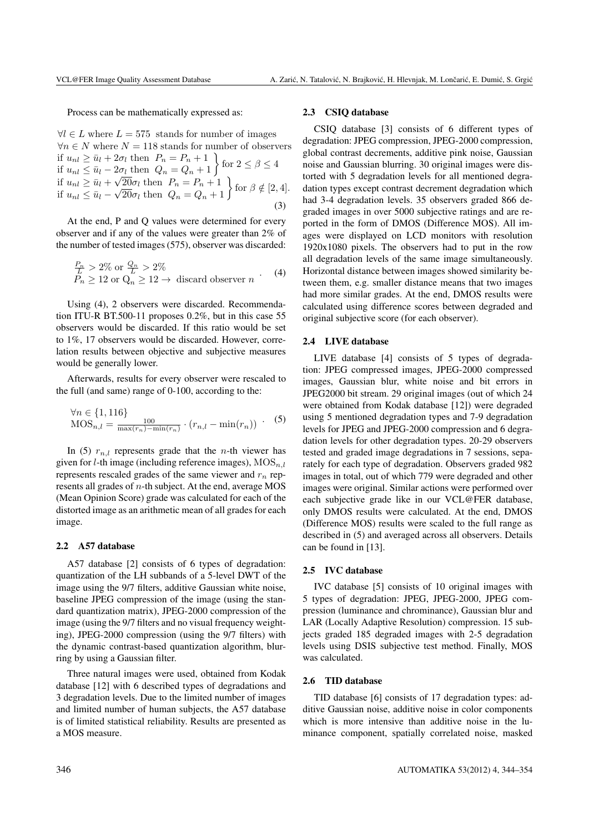Process can be mathematically expressed as:

 $\forall l \in L$  where  $L = 575$  stands for number of images  $\forall n \in N$  where  $N = 118$  stands for number of observers if  $u_{nl} \ge \bar{u}_l + 2\sigma_l$  then  $P_n = P_n + 1$ <br>if  $u_{nl} \le \bar{u}_l - 2\sigma_l$  then  $Q_n = Q_n + 1$ if  $u_{nl} \ge \bar{u}_l + \sqrt{20} \sigma_l$  then  $P_n = P_n + 1$ if  $u_{nl} \ge \bar{u}_l + \sqrt{20}\sigma_l$  then  $P_n = P_n + 1$ <br>if  $u_{nl} \le \bar{u}_l - \sqrt{20}\sigma_l$  then  $Q_n = Q_n + 1$  for  $\beta \notin [2, 4]$ . (3)

At the end, P and Q values were determined for every observer and if any of the values were greater than 2% of the number of tested images (575), observer was discarded:

$$
\frac{P_n}{L} > 2\% \text{ or } \frac{Q_n}{L} > 2\%
$$
  
\n
$$
P_n \ge 12 \text{ or } Q_n \ge 12 \to \text{ discard observer } n
$$
 (4)

Using (4), 2 observers were discarded. Recommendation ITU-R BT.500-11 proposes 0.2%, but in this case 55 observers would be discarded. If this ratio would be set to 1%, 17 observers would be discarded. However, correlation results between objective and subjective measures would be generally lower.

Afterwards, results for every observer were rescaled to the full (and same) range of 0-100, according to the:

$$
\forall n \in \{1, 116\}
$$
  

$$
MOS_{n,l} = \frac{100}{\max(r_n) - \min(r_n)} \cdot (r_{n,l} - \min(r_n)) \cdot (5)
$$

In (5)  $r_{n,l}$  represents grade that the *n*-th viewer has given for *l*-th image (including reference images),  $MOS_{n,l}$ represents rescaled grades of the same viewer and  $r_n$  represents all grades of n-th subject. At the end, average MOS (Mean Opinion Score) grade was calculated for each of the distorted image as an arithmetic mean of all grades for each image.

# 2.2 A57 database

A57 database [2] consists of 6 types of degradation: quantization of the LH subbands of a 5-level DWT of the image using the 9/7 filters, additive Gaussian white noise, baseline JPEG compression of the image (using the standard quantization matrix), JPEG-2000 compression of the image (using the 9/7 filters and no visual frequency weighting), JPEG-2000 compression (using the 9/7 filters) with the dynamic contrast-based quantization algorithm, blurring by using a Gaussian filter.

Three natural images were used, obtained from Kodak database [12] with 6 described types of degradations and 3 degradation levels. Due to the limited number of images and limited number of human subjects, the A57 database is of limited statistical reliability. Results are presented as a MOS measure.

# 2.3 CSIQ database

CSIQ database [3] consists of 6 different types of degradation: JPEG compression, JPEG-2000 compression, global contrast decrements, additive pink noise, Gaussian noise and Gaussian blurring. 30 original images were distorted with 5 degradation levels for all mentioned degradation types except contrast decrement degradation which had 3-4 degradation levels. 35 observers graded 866 degraded images in over 5000 subjective ratings and are reported in the form of DMOS (Difference MOS). All images were displayed on LCD monitors with resolution 1920x1080 pixels. The observers had to put in the row all degradation levels of the same image simultaneously. Horizontal distance between images showed similarity between them, e.g. smaller distance means that two images had more similar grades. At the end, DMOS results were calculated using difference scores between degraded and original subjective score (for each observer).

# 2.4 LIVE database

LIVE database [4] consists of 5 types of degradation: JPEG compressed images, JPEG-2000 compressed images, Gaussian blur, white noise and bit errors in JPEG2000 bit stream. 29 original images (out of which 24 were obtained from Kodak database [12]) were degraded using 5 mentioned degradation types and 7-9 degradation levels for JPEG and JPEG-2000 compression and 6 degradation levels for other degradation types. 20-29 observers tested and graded image degradations in 7 sessions, separately for each type of degradation. Observers graded 982 images in total, out of which 779 were degraded and other images were original. Similar actions were performed over each subjective grade like in our VCL@FER database, only DMOS results were calculated. At the end, DMOS (Difference MOS) results were scaled to the full range as described in (5) and averaged across all observers. Details can be found in [13].

#### 2.5 IVC database

IVC database [5] consists of 10 original images with 5 types of degradation: JPEG, JPEG-2000, JPEG compression (luminance and chrominance), Gaussian blur and LAR (Locally Adaptive Resolution) compression. 15 subjects graded 185 degraded images with 2-5 degradation levels using DSIS subjective test method. Finally, MOS was calculated.

## 2.6 TID database

TID database [6] consists of 17 degradation types: additive Gaussian noise, additive noise in color components which is more intensive than additive noise in the luminance component, spatially correlated noise, masked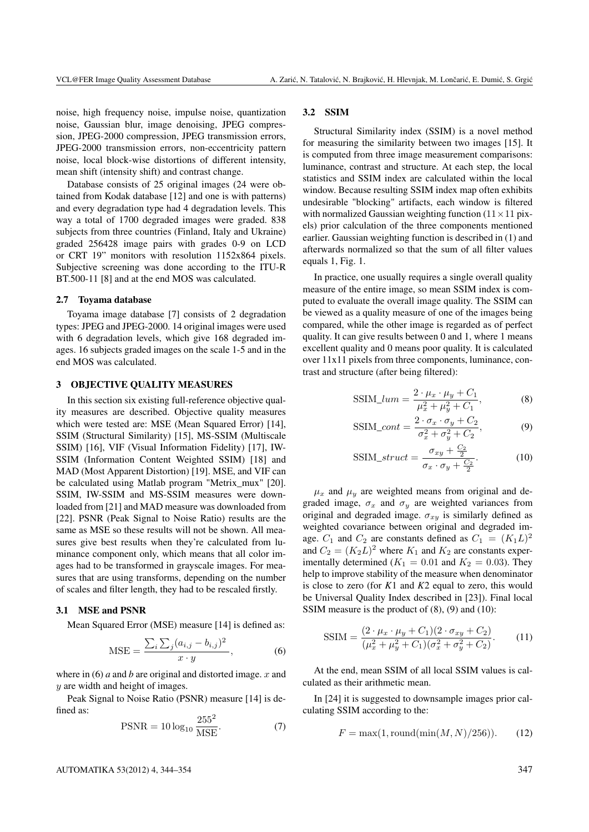noise, high frequency noise, impulse noise, quantization noise, Gaussian blur, image denoising, JPEG compression, JPEG-2000 compression, JPEG transmission errors, JPEG-2000 transmission errors, non-eccentricity pattern noise, local block-wise distortions of different intensity, mean shift (intensity shift) and contrast change.

Database consists of 25 original images (24 were obtained from Kodak database [12] and one is with patterns) and every degradation type had 4 degradation levels. This way a total of 1700 degraded images were graded. 838 subjects from three countries (Finland, Italy and Ukraine) graded 256428 image pairs with grades 0-9 on LCD or CRT 19" monitors with resolution 1152x864 pixels. Subjective screening was done according to the ITU-R BT.500-11 [8] and at the end MOS was calculated.

# 2.7 Toyama database

Toyama image database [7] consists of 2 degradation types: JPEG and JPEG-2000. 14 original images were used with 6 degradation levels, which give 168 degraded images. 16 subjects graded images on the scale 1-5 and in the end MOS was calculated.

#### 3 OBJECTIVE QUALITY MEASURES

In this section six existing full-reference objective quality measures are described. Objective quality measures which were tested are: MSE (Mean Squared Error) [14], SSIM (Structural Similarity) [15], MS-SSIM (Multiscale SSIM) [16], VIF (Visual Information Fidelity) [17], IW-SSIM (Information Content Weighted SSIM) [18] and MAD (Most Apparent Distortion) [19]. MSE, and VIF can be calculated using Matlab program "Metrix\_mux" [20]. SSIM, IW-SSIM and MS-SSIM measures were downloaded from [21] and MAD measure was downloaded from [22]. PSNR (Peak Signal to Noise Ratio) results are the same as MSE so these results will not be shown. All measures give best results when they're calculated from luminance component only, which means that all color images had to be transformed in grayscale images. For measures that are using transforms, depending on the number of scales and filter length, they had to be rescaled firstly.

# 3.1 MSE and PSNR

Mean Squared Error (MSE) measure [14] is defined as:

$$
\text{MSE} = \frac{\sum_{i} \sum_{j} (a_{i,j} - b_{i,j})^2}{x \cdot y},\tag{6}
$$

where in  $(6)$  *a* and *b* are original and distorted image. x and y are width and height of images.

Peak Signal to Noise Ratio (PSNR) measure [14] is defined as:

$$
PSNR = 10 \log_{10} \frac{255^2}{MSE}.
$$
 (7)

# 3.2 SSIM

Structural Similarity index (SSIM) is a novel method for measuring the similarity between two images [15]. It is computed from three image measurement comparisons: luminance, contrast and structure. At each step, the local statistics and SSIM index are calculated within the local window. Because resulting SSIM index map often exhibits undesirable "blocking" artifacts, each window is filtered with normalized Gaussian weighting function  $(11 \times 11)$  pixels) prior calculation of the three components mentioned earlier. Gaussian weighting function is described in (1) and afterwards normalized so that the sum of all filter values equals 1, Fig. 1.

In practice, one usually requires a single overall quality measure of the entire image, so mean SSIM index is computed to evaluate the overall image quality. The SSIM can be viewed as a quality measure of one of the images being compared, while the other image is regarded as of perfect quality. It can give results between 0 and 1, where 1 means excellent quality and 0 means poor quality. It is calculated over 11x11 pixels from three components, luminance, contrast and structure (after being filtered):

$$
SSIM\_lum = \frac{2 \cdot \mu_x \cdot \mu_y + C_1}{\mu_x^2 + \mu_y^2 + C_1},
$$
 (8)

$$
SSIM\_cont = \frac{2 \cdot \sigma_x \cdot \sigma_y + C_2}{\sigma_x^2 + \sigma_y^2 + C_2},\tag{9}
$$

$$
SSIM\_struct = \frac{\sigma_{xy} + \frac{C_2}{2}}{\sigma_x \cdot \sigma_y + \frac{C_2}{2}}.
$$
 (10)

 $\mu_x$  and  $\mu_y$  are weighted means from original and degraded image,  $\sigma_x$  and  $\sigma_y$  are weighted variances from original and degraded image.  $\sigma_{xy}$  is similarly defined as weighted covariance between original and degraded image.  $C_1$  and  $C_2$  are constants defined as  $C_1 = (K_1 L)^2$ and  $C_2 = (K_2 L)^2$  where  $K_1$  and  $K_2$  are constants experimentally determined ( $K_1 = 0.01$  and  $K_2 = 0.03$ ). They help to improve stability of the measure when denominator is close to zero (for *K*1 and *K*2 equal to zero, this would be Universal Quality Index described in [23]). Final local SSIM measure is the product of (8), (9) and (10):

$$
SSIM = \frac{(2 \cdot \mu_x \cdot \mu_y + C_1)(2 \cdot \sigma_{xy} + C_2)}{(\mu_x^2 + \mu_y^2 + C_1)(\sigma_x^2 + \sigma_y^2 + C_2)}.
$$
 (11)

At the end, mean SSIM of all local SSIM values is calculated as their arithmetic mean.

In [24] it is suggested to downsample images prior calculating SSIM according to the:

$$
F = \max(1, \text{round}(\min(M, N)/256)).
$$
 (12)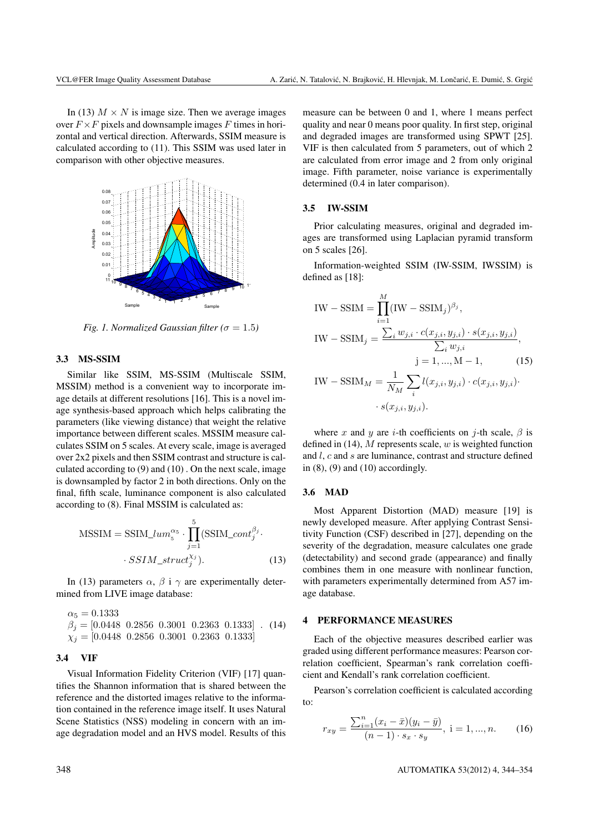In (13)  $M \times N$  is image size. Then we average images over  $F \times F$  pixels and downsample images F times in horizontal and vertical direction. Afterwards, SSIM measure is calculated according to (11). This SSIM was used later in comparison with other objective measures.



*Fig. 1. Normalized Gaussian filter* ( $\sigma = 1.5$ )

# 3.3 MS-SSIM

Similar like SSIM, MS-SSIM (Multiscale SSIM, MSSIM) method is a convenient way to incorporate image details at different resolutions [16]. This is a novel image synthesis-based approach which helps calibrating the parameters (like viewing distance) that weight the relative importance between different scales. MSSIM measure calculates SSIM on 5 scales. At every scale, image is averaged over 2x2 pixels and then SSIM contrast and structure is calculated according to (9) and (10) . On the next scale, image is downsampled by factor 2 in both directions. Only on the final, fifth scale, luminance component is also calculated according to (8). Final MSSIM is calculated as:

$$
\text{MSSIM} = \text{SSIM\_lum}_{5}^{\alpha_{5}} \cdot \prod_{j=1}^{5} (\text{SSIM\_cont}_{j}^{\beta_{j}} \cdot \text{SSIM\_struct}_{j}^{\beta_{j}}) \tag{13}
$$

In (13) parameters  $\alpha$ ,  $\beta$  i  $\gamma$  are experimentally determined from LIVE image database:

$$
\alpha_5 = 0.1333
$$
  
\n
$$
\beta_j = [0.0448 \ 0.2856 \ 0.3001 \ 0.2363 \ 0.1333] . (14)
$$
  
\n
$$
\chi_j = [0.0448 \ 0.2856 \ 0.3001 \ 0.2363 \ 0.1333]
$$

# 3.4 VIF

Visual Information Fidelity Criterion (VIF) [17] quantifies the Shannon information that is shared between the reference and the distorted images relative to the information contained in the reference image itself. It uses Natural Scene Statistics (NSS) modeling in concern with an image degradation model and an HVS model. Results of this measure can be between 0 and 1, where 1 means perfect quality and near 0 means poor quality. In first step, original and degraded images are transformed using SPWT [25]. VIF is then calculated from 5 parameters, out of which 2 are calculated from error image and 2 from only original image. Fifth parameter, noise variance is experimentally determined (0.4 in later comparison).

#### 3.5 IW-SSIM

Prior calculating measures, original and degraded images are transformed using Laplacian pyramid transform on 5 scales [26].

Information-weighted SSIM (IW-SSIM, IWSSIM) is defined as [18]:

IW - SSIM = 
$$
\prod_{i=1}^{M} (IW - SSIM_j)^{\beta_j}
$$
,  
\nIW - SSIM<sub>j</sub> =  $\frac{\sum_i w_{j,i} \cdot c(x_{j,i}, y_{j,i}) \cdot s(x_{j,i}, y_{j,i})}{\sum_i w_{j,i}}$ ,  
\n $j = 1,..., M - 1$ , (15)  
\nIW - SSIM<sub>M</sub> =  $\frac{1}{N_M} \sum_i l(x_{j,i}, y_{j,i}) \cdot c(x_{j,i}, y_{j,i}) \cdot s(x_{j,i}, y_{j,i})$ .

where x and y are i-th coefficients on j-th scale,  $\beta$  is defined in  $(14)$ , M represents scale, w is weighted function and *l*, *c* and *s* are luminance, contrast and structure defined in  $(8)$ ,  $(9)$  and  $(10)$  accordingly.

## 3.6 MAD

Most Apparent Distortion (MAD) measure [19] is newly developed measure. After applying Contrast Sensitivity Function (CSF) described in [27], depending on the severity of the degradation, measure calculates one grade (detectability) and second grade (appearance) and finally combines them in one measure with nonlinear function, with parameters experimentally determined from A57 image database.

# 4 PERFORMANCE MEASURES

Each of the objective measures described earlier was graded using different performance measures: Pearson correlation coefficient, Spearman's rank correlation coefficient and Kendall's rank correlation coefficient.

Pearson's correlation coefficient is calculated according to:

$$
r_{xy} = \frac{\sum_{i=1}^{n} (x_i - \bar{x})(y_i - \bar{y})}{(n-1) \cdot s_x \cdot s_y}, \ i = 1, ..., n.
$$
 (16)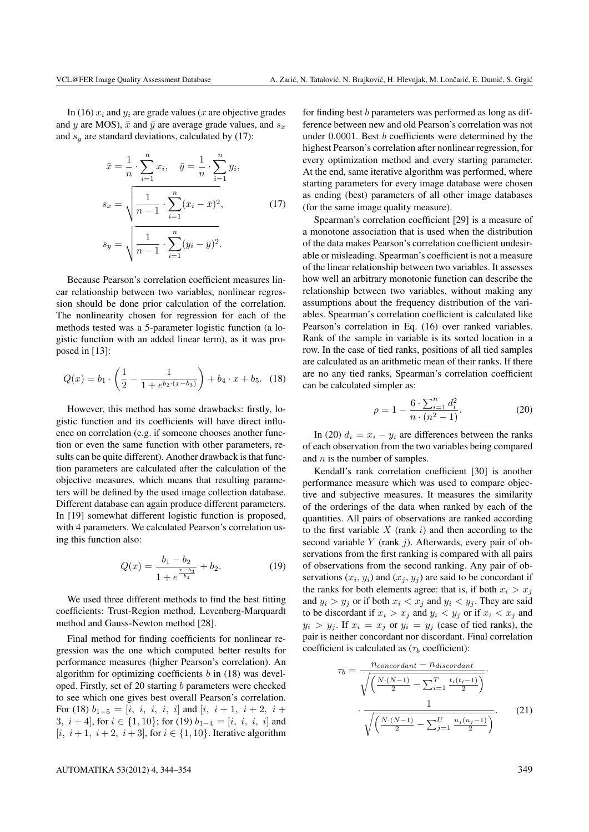In (16)  $x_i$  and  $y_i$  are grade values (x are objective grades and y are MOS),  $\bar{x}$  and  $\bar{y}$  are average grade values, and  $s_x$ and  $s_y$  are standard deviations, calculated by (17):

$$
\bar{x} = \frac{1}{n} \cdot \sum_{i=1}^{n} x_i, \quad \bar{y} = \frac{1}{n} \cdot \sum_{i=1}^{n} y_i,
$$
  

$$
s_x = \sqrt{\frac{1}{n-1} \cdot \sum_{i=1}^{n} (x_i - \bar{x})^2},
$$
  

$$
s_y = \sqrt{\frac{1}{n-1} \cdot \sum_{i=1}^{n} (y_i - \bar{y})^2}.
$$
 (17)

Because Pearson's correlation coefficient measures linear relationship between two variables, nonlinear regression should be done prior calculation of the correlation. The nonlinearity chosen for regression for each of the methods tested was a 5-parameter logistic function (a logistic function with an added linear term), as it was proposed in [13]:

$$
Q(x) = b_1 \cdot \left(\frac{1}{2} - \frac{1}{1 + e^{b_2 \cdot (x - b_3)}}\right) + b_4 \cdot x + b_5. \tag{18}
$$

However, this method has some drawbacks: firstly, logistic function and its coefficients will have direct influence on correlation (e.g. if someone chooses another function or even the same function with other parameters, results can be quite different). Another drawback is that function parameters are calculated after the calculation of the objective measures, which means that resulting parameters will be defined by the used image collection database. Different database can again produce different parameters. In [19] somewhat different logistic function is proposed, with 4 parameters. We calculated Pearson's correlation using this function also:

$$
Q(x) = \frac{b_1 - b_2}{1 + e^{\frac{x - b_3}{b_4}}} + b_2.
$$
 (19)

We used three different methods to find the best fitting coefficients: Trust-Region method, Levenberg-Marquardt method and Gauss-Newton method [28].

Final method for finding coefficients for nonlinear regression was the one which computed better results for performance measures (higher Pearson's correlation). An algorithm for optimizing coefficients  $b$  in (18) was developed. Firstly, set of 20 starting b parameters were checked to see which one gives best overall Pearson's correlation. For (18)  $b_{1-5} = [i, i, i, i, i]$  and  $[i, i+1, i+2, i+1]$ 3,  $i + 4$ , for  $i \in \{1, 10\}$ ; for (19)  $b_{1-4} = [i, i, i, i]$  and [i,  $i + 1$ ,  $i + 2$ ,  $i + 3$ ], for  $i \in \{1, 10\}$ . Iterative algorithm

for finding best b parameters was performed as long as difference between new and old Pearson's correlation was not under 0.0001. Best b coefficients were determined by the highest Pearson's correlation after nonlinear regression, for every optimization method and every starting parameter. At the end, same iterative algorithm was performed, where starting parameters for every image database were chosen as ending (best) parameters of all other image databases (for the same image quality measure).

Spearman's correlation coefficient [29] is a measure of a monotone association that is used when the distribution of the data makes Pearson's correlation coefficient undesirable or misleading. Spearman's coefficient is not a measure of the linear relationship between two variables. It assesses how well an arbitrary monotonic function can describe the relationship between two variables, without making any assumptions about the frequency distribution of the variables. Spearman's correlation coefficient is calculated like Pearson's correlation in Eq. (16) over ranked variables. Rank of the sample in variable is its sorted location in a row. In the case of tied ranks, positions of all tied samples are calculated as an arithmetic mean of their ranks. If there are no any tied ranks, Spearman's correlation coefficient can be calculated simpler as:

$$
\rho = 1 - \frac{6 \cdot \sum_{i=1}^{n} d_i^2}{n \cdot (n^2 - 1)}.
$$
\n(20)

In (20)  $d_i = x_i - y_i$  are differences between the ranks of each observation from the two variables being compared and  $n$  is the number of samples.

Kendall's rank correlation coefficient [30] is another performance measure which was used to compare objective and subjective measures. It measures the similarity of the orderings of the data when ranked by each of the quantities. All pairs of observations are ranked according to the first variable  $X$  (rank  $i$ ) and then according to the second variable  $Y$  (rank  $j$ ). Afterwards, every pair of observations from the first ranking is compared with all pairs of observations from the second ranking. Any pair of observations  $(x_i, y_i)$  and  $(x_j, y_j)$  are said to be concordant if the ranks for both elements agree: that is, if both  $x_i > x_j$ and  $y_i > y_j$  or if both  $x_i < x_j$  and  $y_i < y_j$ . They are said to be discordant if  $x_i > x_j$  and  $y_i < y_j$  or if  $x_i < x_j$  and  $y_i > y_j$ . If  $x_i = x_j$  or  $y_i = y_j$  (case of tied ranks), the pair is neither concordant nor discordant. Final correlation coefficient is calculated as  $(\tau_b$  coefficient):

$$
\tau_b = \frac{n_{concordant} - n_{discordant}}{\sqrt{\left(\frac{N \cdot (N-1)}{2} - \sum_{i=1}^T \frac{t_i(t_i - 1)}{2}\right)}} \cdot \frac{1}{\sqrt{\left(\frac{N \cdot (N-1)}{2} - \sum_{j=1}^U \frac{u_j(u_j - 1)}{2}\right)}}.
$$
(21)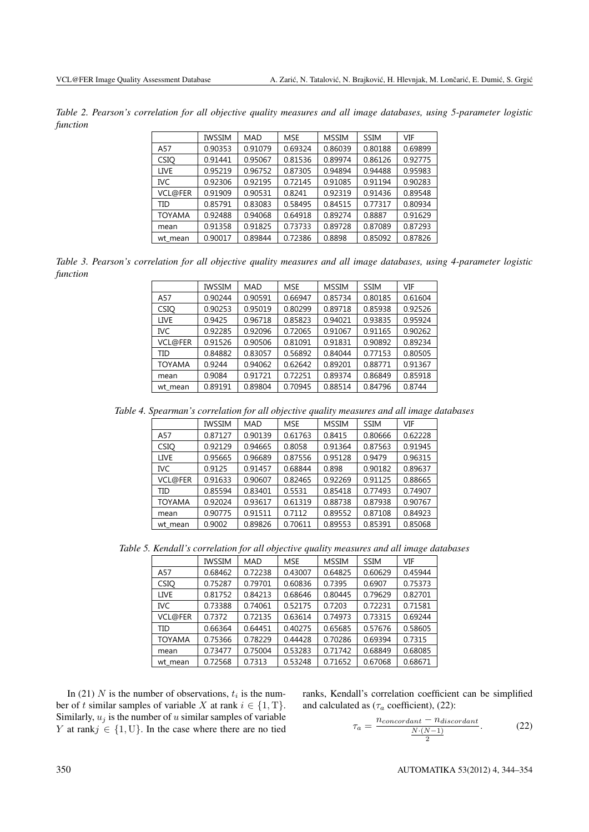*Table 2. Pearson's correlation for all objective quality measures and all image databases, using 5-parameter logistic function*

|               | <b>IWSSIM</b> | <b>MAD</b> | <b>MSE</b> | <b>MSSIM</b> | <b>SSIM</b> | VIF     |
|---------------|---------------|------------|------------|--------------|-------------|---------|
| A57           | 0.90353       | 0.91079    | 0.69324    | 0.86039      | 0.80188     | 0.69899 |
| <b>CSIO</b>   | 0.91441       | 0.95067    | 0.81536    | 0.89974      | 0.86126     | 0.92775 |
| <b>LIVE</b>   | 0.95219       | 0.96752    | 0.87305    | 0.94894      | 0.94488     | 0.95983 |
| IVC.          | 0.92306       | 0.92195    | 0.72145    | 0.91085      | 0.91194     | 0.90283 |
| VCL@FER       | 0.91909       | 0.90531    | 0.8241     | 0.92319      | 0.91436     | 0.89548 |
| <b>TID</b>    | 0.85791       | 0.83083    | 0.58495    | 0.84515      | 0.77317     | 0.80934 |
| <b>TOYAMA</b> | 0.92488       | 0.94068    | 0.64918    | 0.89274      | 0.8887      | 0.91629 |
| mean          | 0.91358       | 0.91825    | 0.73733    | 0.89728      | 0.87089     | 0.87293 |
| wt mean       | 0.90017       | 0.89844    | 0.72386    | 0.8898       | 0.85092     | 0.87826 |

*Table 3. Pearson's correlation for all objective quality measures and all image databases, using 4-parameter logistic function*

|               | <b>IWSSIM</b> | MAD     | <b>MSE</b> | <b>MSSIM</b> | <b>SSIM</b> | VIF     |
|---------------|---------------|---------|------------|--------------|-------------|---------|
| A57           | 0.90244       | 0.90591 | 0.66947    | 0.85734      | 0.80185     | 0.61604 |
| <b>CSIO</b>   | 0.90253       | 0.95019 | 0.80299    | 0.89718      | 0.85938     | 0.92526 |
| <b>LIVE</b>   | 0.9425        | 0.96718 | 0.85823    | 0.94021      | 0.93835     | 0.95924 |
| <b>IVC</b>    | 0.92285       | 0.92096 | 0.72065    | 0.91067      | 0.91165     | 0.90262 |
| VCL@FER       | 0.91526       | 0.90506 | 0.81091    | 0.91831      | 0.90892     | 0.89234 |
| TID           | 0.84882       | 0.83057 | 0.56892    | 0.84044      | 0.77153     | 0.80505 |
| <b>TOYAMA</b> | 0.9244        | 0.94062 | 0.62642    | 0.89201      | 0.88771     | 0.91367 |
| mean          | 0.9084        | 0.91721 | 0.72251    | 0.89374      | 0.86849     | 0.85918 |
| wt mean       | 0.89191       | 0.89804 | 0.70945    | 0.88514      | 0.84796     | 0.8744  |

*Table 4. Spearman's correlation for all objective quality measures and all image databases*

|               | <b>IWSSIM</b> | MAD     | <b>MSE</b> | <b>MSSIM</b> | <b>SSIM</b> | VIF     |
|---------------|---------------|---------|------------|--------------|-------------|---------|
| A57           | 0.87127       | 0.90139 | 0.61763    | 0.8415       | 0.80666     | 0.62228 |
| <b>CSIO</b>   | 0.92129       | 0.94665 | 0.8058     | 0.91364      | 0.87563     | 0.91945 |
| <b>LIVE</b>   | 0.95665       | 0.96689 | 0.87556    | 0.95128      | 0.9479      | 0.96315 |
| <b>IVC</b>    | 0.9125        | 0.91457 | 0.68844    | 0.898        | 0.90182     | 0.89637 |
| VCL@FER       | 0.91633       | 0.90607 | 0.82465    | 0.92269      | 0.91125     | 0.88665 |
| TID           | 0.85594       | 0.83401 | 0.5531     | 0.85418      | 0.77493     | 0.74907 |
| <b>TOYAMA</b> | 0.92024       | 0.93617 | 0.61319    | 0.88738      | 0.87938     | 0.90767 |
| mean          | 0.90775       | 0.91511 | 0.7112     | 0.89552      | 0.87108     | 0.84923 |
| wt mean       | 0.9002        | 0.89826 | 0.70611    | 0.89553      | 0.85391     | 0.85068 |

*Table 5. Kendall's correlation for all objective quality measures and all image databases*

|               | IWSSIM  | MAD     | <b>MSE</b> | <b>MSSIM</b> | <b>SSIM</b> | VIF     |
|---------------|---------|---------|------------|--------------|-------------|---------|
| A57           | 0.68462 | 0.72238 | 0.43007    | 0.64825      | 0.60629     | 0.45944 |
| <b>CSIO</b>   | 0.75287 | 0.79701 | 0.60836    | 0.7395       | 0.6907      | 0.75373 |
| <b>LIVE</b>   | 0.81752 | 0.84213 | 0.68646    | 0.80445      | 0.79629     | 0.82701 |
| <b>IVC</b>    | 0.73388 | 0.74061 | 0.52175    | 0.7203       | 0.72231     | 0.71581 |
| VCL@FER       | 0.7372  | 0.72135 | 0.63614    | 0.74973      | 0.73315     | 0.69244 |
| TID           | 0.66364 | 0.64451 | 0.40275    | 0.65685      | 0.57676     | 0.58605 |
| <b>TOYAMA</b> | 0.75366 | 0.78229 | 0.44428    | 0.70286      | 0.69394     | 0.7315  |
| mean          | 0.73477 | 0.75004 | 0.53283    | 0.71742      | 0.68849     | 0.68085 |
| wt mean       | 0.72568 | 0.7313  | 0.53248    | 0.71652      | 0.67068     | 0.68671 |

In (21) N is the number of observations,  $t_i$  is the number of t similar samples of variable X at rank  $i \in \{1, T\}$ . Similarly,  $u_i$  is the number of u similar samples of variable Y at rank $j \in \{1, U\}$ . In the case where there are no tied ranks, Kendall's correlation coefficient can be simplified and calculated as  $(\tau_a \text{ coefficient})$ , (22):

$$
\tau_a = \frac{n_{concordant} - n_{discordant}}{\frac{N \cdot (N-1)}{2}}.\tag{22}
$$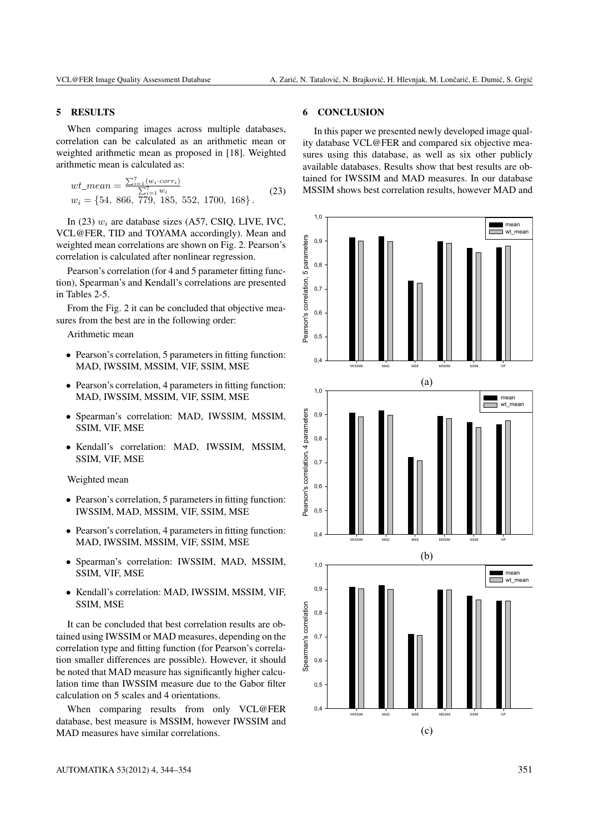# 5 RESULTS

When comparing images across multiple databases, correlation can be calculated as an arithmetic mean or weighted arithmetic mean as proposed in [18]. Weighted arithmetic mean is calculated as:

$$
wt\_mean = \frac{\sum_{i=1}^{7} (w_i \cdot corr_i)}{\sum_{i=1}^{7} w_i}
$$
  

$$
w_i = \{54, 866, 779, 185, 552, 1700, 168\}.
$$
 (23)

In (23)  $w_i$  are database sizes (A57, CSIQ, LIVE, IVC, VCL@FER, TID and TOYAMA accordingly). Mean and weighted mean correlations are shown on Fig. 2. Pearson's correlation is calculated after nonlinear regression.

Pearson's correlation (for 4 and 5 parameter fitting function), Spearman's and Kendall's correlations are presented in Tables 2-5.

From the Fig. 2 it can be concluded that objective measures from the best are in the following order:

Arithmetic mean

- Pearson's correlation, 5 parameters in fitting function: MAD, IWSSIM, MSSIM, VIF, SSIM, MSE
- Pearson's correlation, 4 parameters in fitting function: MAD, IWSSIM, MSSIM, VIF, SSIM, MSE
- Spearman's correlation: MAD, IWSSIM, MSSIM, SSIM, VIF, MSE
- Kendall's correlation: MAD, IWSSIM, MSSIM, SSIM, VIF, MSE

### Weighted mean

- Pearson's correlation, 5 parameters in fitting function: IWSSIM, MAD, MSSIM, VIF, SSIM, MSE
- Pearson's correlation, 4 parameters in fitting function: MAD, IWSSIM, MSSIM, VIF, SSIM, MSE
- Spearman's correlation: IWSSIM, MAD, MSSIM, SSIM, VIF, MSE
- Kendall's correlation: MAD, IWSSIM, MSSIM, VIF, SSIM, MSE

It can be concluded that best correlation results are obtained using IWSSIM or MAD measures, depending on the correlation type and fitting function (for Pearson's correlation smaller differences are possible). However, it should be noted that MAD measure has significantly higher calculation time than IWSSIM measure due to the Gabor filter calculation on 5 scales and 4 orientations.

When comparing results from only VCL@FER database, best measure is MSSIM, however IWSSIM and MAD measures have similar correlations.

# 6 CONCLUSION

In this paper we presented newly developed image quality database VCL@FER and compared six objective measures using this database, as well as six other publicly available databases. Results show that best results are obtained for IWSSIM and MAD measures. In our database MSSIM shows best correlation results, however MAD and

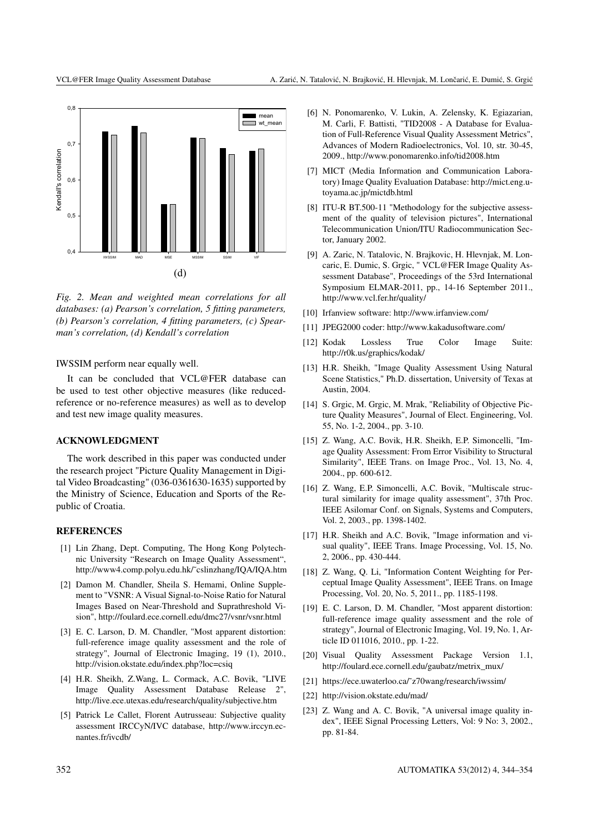

*Fig. 2. Mean and weighted mean correlations for all databases: (a) Pearson's correlation, 5 fitting parameters, (b) Pearson's correlation, 4 fitting parameters, (c) Spearman's correlation, (d) Kendall's correlation*

IWSSIM perform near equally well.

It can be concluded that VCL@FER database can be used to test other objective measures (like reducedreference or no-reference measures) as well as to develop and test new image quality measures.

#### ACKNOWLEDGMENT

The work described in this paper was conducted under the research project "Picture Quality Management in Digital Video Broadcasting" (036-0361630-1635) supported by the Ministry of Science, Education and Sports of the Republic of Croatia.

#### **REFERENCES**

- [1] Lin Zhang, Dept. Computing, The Hong Kong Polytechnic University "Research on Image Quality Assessment", http://www4.comp.polyu.edu.hk/˜cslinzhang/IQA/IQA.htm
- [2] Damon M. Chandler, Sheila S. Hemami, Online Supplement to "VSNR: A Visual Signal-to-Noise Ratio for Natural Images Based on Near-Threshold and Suprathreshold Vision", http://foulard.ece.cornell.edu/dmc27/vsnr/vsnr.html
- [3] E. C. Larson, D. M. Chandler, "Most apparent distortion: full-reference image quality assessment and the role of strategy", Journal of Electronic Imaging, 19 (1), 2010., http://vision.okstate.edu/index.php?loc=csiq
- [4] H.R. Sheikh, Z.Wang, L. Cormack, A.C. Bovik, "LIVE Image Quality Assessment Database Release 2", http://live.ece.utexas.edu/research/quality/subjective.htm
- [5] Patrick Le Callet, Florent Autrusseau: Subjective quality assessment IRCCyN/IVC database, http://www.irccyn.ecnantes.fr/ivcdb/
- [6] N. Ponomarenko, V. Lukin, A. Zelensky, K. Egiazarian, M. Carli, F. Battisti, "TID2008 - A Database for Evaluation of Full-Reference Visual Quality Assessment Metrics", Advances of Modern Radioelectronics, Vol. 10, str. 30-45, 2009., http://www.ponomarenko.info/tid2008.htm
- [7] MICT (Media Information and Communication Laboratory) Image Quality Evaluation Database: http://mict.eng.utoyama.ac.jp/mictdb.html
- [8] ITU-R BT.500-11 "Methodology for the subjective assessment of the quality of television pictures", International Telecommunication Union/ITU Radiocommunication Sector, January 2002.
- [9] A. Zaric, N. Tatalovic, N. Brajkovic, H. Hlevnjak, M. Loncaric, E. Dumic, S. Grgic, " VCL@FER Image Quality Assessment Database", Proceedings of the 53rd International Symposium ELMAR-2011, pp., 14-16 September 2011., http://www.vcl.fer.hr/quality/
- [10] Irfanview software: http://www.irfanview.com/
- [11] JPEG2000 coder: http://www.kakadusoftware.com/
- [12] Kodak Lossless True Color Image Suite: http://r0k.us/graphics/kodak/
- [13] H.R. Sheikh, "Image Quality Assessment Using Natural Scene Statistics," Ph.D. dissertation, University of Texas at Austin, 2004.
- [14] S. Grgic, M. Grgic, M. Mrak, "Reliability of Objective Picture Quality Measures", Journal of Elect. Engineering, Vol. 55, No. 1-2, 2004., pp. 3-10.
- [15] Z. Wang, A.C. Bovik, H.R. Sheikh, E.P. Simoncelli, "Image Quality Assessment: From Error Visibility to Structural Similarity", IEEE Trans. on Image Proc., Vol. 13, No. 4, 2004., pp. 600-612.
- [16] Z. Wang, E.P. Simoncelli, A.C. Bovik, "Multiscale structural similarity for image quality assessment", 37th Proc. IEEE Asilomar Conf. on Signals, Systems and Computers, Vol. 2, 2003., pp. 1398-1402.
- [17] H.R. Sheikh and A.C. Bovik, "Image information and visual quality", IEEE Trans. Image Processing, Vol. 15, No. 2, 2006., pp. 430-444.
- [18] Z. Wang, Q. Li, "Information Content Weighting for Perceptual Image Quality Assessment", IEEE Trans. on Image Processing, Vol. 20, No. 5, 2011., pp. 1185-1198.
- [19] E. C. Larson, D. M. Chandler, "Most apparent distortion: full-reference image quality assessment and the role of strategy", Journal of Electronic Imaging, Vol. 19, No. 1, Article ID 011016, 2010., pp. 1-22.
- [20] Visual Quality Assessment Package Version 1.1, http://foulard.ece.cornell.edu/gaubatz/metrix\_mux/
- [21] https://ece.uwaterloo.ca/~z70wang/research/iwssim/
- [22] http://vision.okstate.edu/mad/
- [23] Z. Wang and A. C. Bovik, "A universal image quality index", IEEE Signal Processing Letters, Vol: 9 No: 3, 2002., pp. 81-84.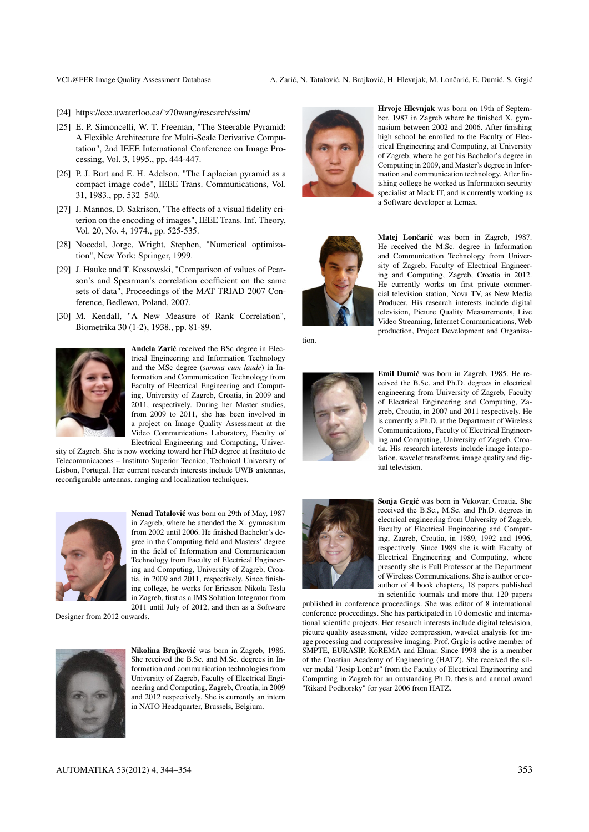- [24] https://ece.uwaterloo.ca/~z70wang/research/ssim/
- [25] E. P. Simoncelli, W. T. Freeman, "The Steerable Pyramid: A Flexible Architecture for Multi-Scale Derivative Computation", 2nd IEEE International Conference on Image Processing, Vol. 3, 1995., pp. 444-447.
- [26] P. J. Burt and E. H. Adelson, "The Laplacian pyramid as a compact image code", IEEE Trans. Communications, Vol. 31, 1983., pp. 532–540.
- [27] J. Mannos, D. Sakrison, "The effects of a visual fidelity criterion on the encoding of images", IEEE Trans. Inf. Theory, Vol. 20, No. 4, 1974., pp. 525-535.
- [28] Nocedal, Jorge, Wright, Stephen, "Numerical optimization", New York: Springer, 1999.
- [29] J. Hauke and T. Kossowski, "Comparison of values of Pearson's and Spearman's correlation coefficient on the same sets of data", Proceedings of the MAT TRIAD 2007 Conference, Bedlewo, Poland, 2007.
- [30] M. Kendall, "A New Measure of Rank Correlation", Biometrika 30 (1-2), 1938., pp. 81-89.



Andela Zarić received the BSc degree in Electrical Engineering and Information Technology and the MSc degree (*summa cum laude*) in Information and Communication Technology from Faculty of Electrical Engineering and Computing, University of Zagreb, Croatia, in 2009 and 2011, respectively. During her Master studies, from 2009 to 2011, she has been involved in a project on Image Quality Assessment at the Video Communications Laboratory, Faculty of Electrical Engineering and Computing, Univer-

sity of Zagreb. She is now working toward her PhD degree at Instituto de Telecomunicacoes – Instituto Superior Tecnico, Technical University of Lisbon, Portugal. Her current research interests include UWB antennas, reconfigurable antennas, ranging and localization techniques.



Nenad Tatalović was born on 29th of May, 1987 in Zagreb, where he attended the X. gymnasium from 2002 until 2006. He finished Bachelor's degree in the Computing field and Masters' degree in the field of Information and Communication Technology from Faculty of Electrical Engineering and Computing, University of Zagreb, Croatia, in 2009 and 2011, respectively. Since finishing college, he works for Ericsson Nikola Tesla in Zagreb, first as a IMS Solution Integrator from 2011 until July of 2012, and then as a Software

Designer from 2012 onwards.



Nikolina Brajković was born in Zagreb, 1986. She received the B.Sc. and M.Sc. degrees in Information and communication technologies from University of Zagreb, Faculty of Electrical Engineering and Computing, Zagreb, Croatia, in 2009 and 2012 respectively. She is currently an intern in NATO Headquarter, Brussels, Belgium.



Hrvoje Hlevnjak was born on 19th of September, 1987 in Zagreb where he finished X. gymnasium between 2002 and 2006. After finishing high school he enrolled to the Faculty of Electrical Engineering and Computing, at University of Zagreb, where he got his Bachelor's degree in Computing in 2009, and Master's degree in Information and communication technology. After finishing college he worked as Information security specialist at Mack IT, and is currently working as a Software developer at Lemax.



Matej Lončarić was born in Zagreb, 1987. He received the M.Sc. degree in Information and Communication Technology from University of Zagreb, Faculty of Electrical Engineering and Computing, Zagreb, Croatia in 2012. He currently works on first private commercial television station, Nova TV, as New Media Producer. His research interests include digital television, Picture Quality Measurements, Live Video Streaming, Internet Communications, Web production, Project Development and Organiza-

tion.



Emil Dumić was born in Zagreb, 1985. He received the B.Sc. and Ph.D. degrees in electrical engineering from University of Zagreb, Faculty of Electrical Engineering and Computing, Zagreb, Croatia, in 2007 and 2011 respectively. He is currently a Ph.D. at the Department of Wireless Communications, Faculty of Electrical Engineering and Computing, University of Zagreb, Croatia. His research interests include image interpolation, wavelet transforms, image quality and digital television.



Sonja Grgić was born in Vukovar, Croatia. She received the B.Sc., M.Sc. and Ph.D. degrees in electrical engineering from University of Zagreb, Faculty of Electrical Engineering and Computing, Zagreb, Croatia, in 1989, 1992 and 1996, respectively. Since 1989 she is with Faculty of Electrical Engineering and Computing, where presently she is Full Professor at the Department of Wireless Communications. She is author or coauthor of 4 book chapters, 18 papers published in scientific journals and more that 120 papers

published in conference proceedings. She was editor of 8 international conference proceedings. She has participated in 10 domestic and international scientific projects. Her research interests include digital television, picture quality assessment, video compression, wavelet analysis for image processing and compressive imaging. Prof. Grgic is active member of SMPTE, EURASIP, KoREMA and Elmar. Since 1998 she is a member of the Croatian Academy of Engineering (HATZ). She received the silver medal "Josip Lončar" from the Faculty of Electrical Engineering and Computing in Zagreb for an outstanding Ph.D. thesis and annual award "Rikard Podhorsky" for year 2006 from HATZ.